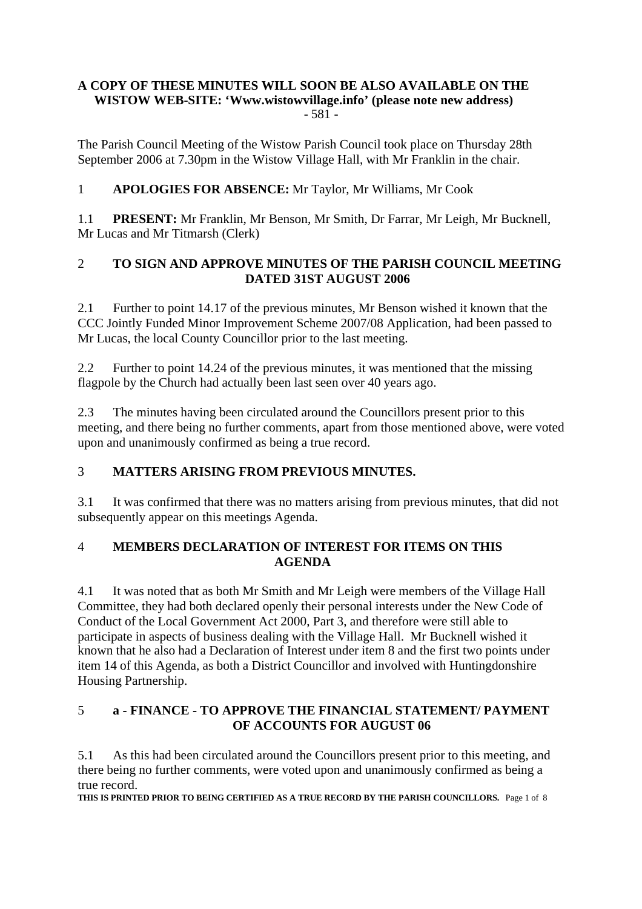#### **A COPY OF THESE MINUTES WILL SOON BE ALSO AVAILABLE ON THE WISTOW WEB-SITE: 'Www.wistowvillage.info' (please note new address)**  $-581 -$

The Parish Council Meeting of the Wistow Parish Council took place on Thursday 28th September 2006 at 7.30pm in the Wistow Village Hall, with Mr Franklin in the chair.

# 1 **APOLOGIES FOR ABSENCE:** Mr Taylor, Mr Williams, Mr Cook

1.1 **PRESENT:** Mr Franklin, Mr Benson, Mr Smith, Dr Farrar, Mr Leigh, Mr Bucknell, Mr Lucas and Mr Titmarsh (Clerk)

## 2 **TO SIGN AND APPROVE MINUTES OF THE PARISH COUNCIL MEETING DATED 31ST AUGUST 2006**

2.1 Further to point 14.17 of the previous minutes, Mr Benson wished it known that the CCC Jointly Funded Minor Improvement Scheme 2007/08 Application, had been passed to Mr Lucas, the local County Councillor prior to the last meeting.

2.2 Further to point 14.24 of the previous minutes, it was mentioned that the missing flagpole by the Church had actually been last seen over 40 years ago.

2.3 The minutes having been circulated around the Councillors present prior to this meeting, and there being no further comments, apart from those mentioned above, were voted upon and unanimously confirmed as being a true record.

#### 3 **MATTERS ARISING FROM PREVIOUS MINUTES.**

3.1 It was confirmed that there was no matters arising from previous minutes, that did not subsequently appear on this meetings Agenda.

# 4 **MEMBERS DECLARATION OF INTEREST FOR ITEMS ON THIS AGENDA**

4.1 It was noted that as both Mr Smith and Mr Leigh were members of the Village Hall Committee, they had both declared openly their personal interests under the New Code of Conduct of the Local Government Act 2000, Part 3, and therefore were still able to participate in aspects of business dealing with the Village Hall. Mr Bucknell wished it known that he also had a Declaration of Interest under item 8 and the first two points under item 14 of this Agenda, as both a District Councillor and involved with Huntingdonshire Housing Partnership.

# 5 **a - FINANCE - TO APPROVE THE FINANCIAL STATEMENT/ PAYMENT OF ACCOUNTS FOR AUGUST 06**

5.1 As this had been circulated around the Councillors present prior to this meeting, and there being no further comments, were voted upon and unanimously confirmed as being a true record.

**THIS IS PRINTED PRIOR TO BEING CERTIFIED AS A TRUE RECORD BY THE PARISH COUNCILLORS.** Page 1 of 8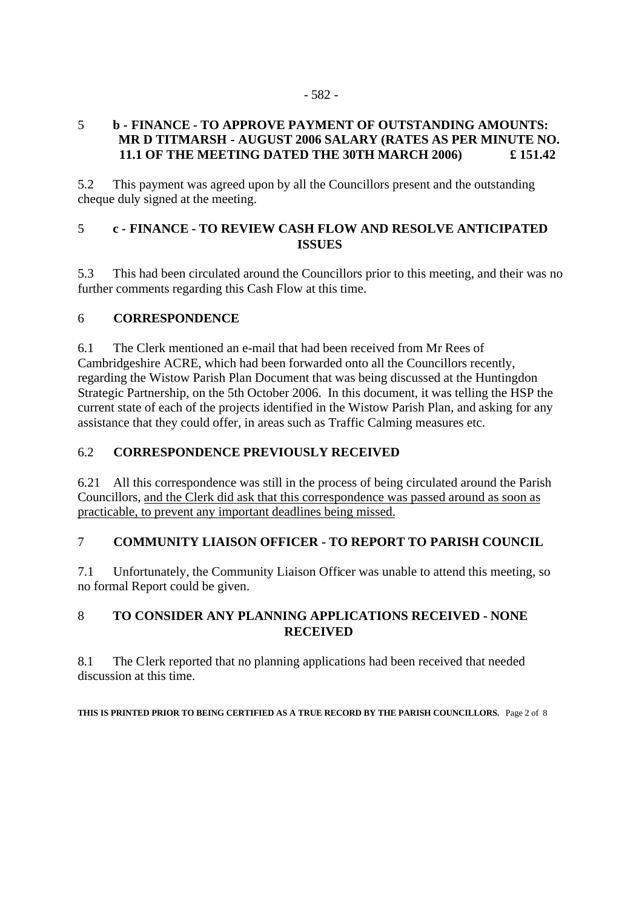#### 5 **b - FINANCE - TO APPROVE PAYMENT OF OUTSTANDING AMOUNTS: MR D TITMARSH - AUGUST 2006 SALARY (RATES AS PER MINUTE NO. 11.1 OF THE MEETING DATED THE 30TH MARCH 2006) £ 151.42**

5.2 This payment was agreed upon by all the Councillors present and the outstanding cheque duly signed at the meeting.

# 5 **c - FINANCE - TO REVIEW CASH FLOW AND RESOLVE ANTICIPATED ISSUES**

5.3 This had been circulated around the Councillors prior to this meeting, and their was no further comments regarding this Cash Flow at this time.

# 6 **CORRESPONDENCE**

6.1 The Clerk mentioned an e-mail that had been received from Mr Rees of Cambridgeshire ACRE, which had been forwarded onto all the Councillors recently, regarding the Wistow Parish Plan Document that was being discussed at the Huntingdon Strategic Partnership, on the 5th October 2006. In this document, it was telling the HSP the current state of each of the projects identified in the Wistow Parish Plan, and asking for any assistance that they could offer, in areas such as Traffic Calming measures etc.

## 6.2 **CORRESPONDENCE PREVIOUSLY RECEIVED**

6.21 All this correspondence was still in the process of being circulated around the Parish Councillors, and the Clerk did ask that this correspondence was passed around as soon as practicable, to prevent any important deadlines being missed.

# 7 **COMMUNITY LIAISON OFFICER - TO REPORT TO PARISH COUNCIL**

7.1 Unfortunately, the Community Liaison Officer was unable to attend this meeting, so no formal Report could be given.

# 8 **TO CONSIDER ANY PLANNING APPLICATIONS RECEIVED - NONE RECEIVED**

8.1 The Clerk reported that no planning applications had been received that needed discussion at this time.

**THIS IS PRINTED PRIOR TO BEING CERTIFIED AS A TRUE RECORD BY THE PARISH COUNCILLORS.** Page 2 of 8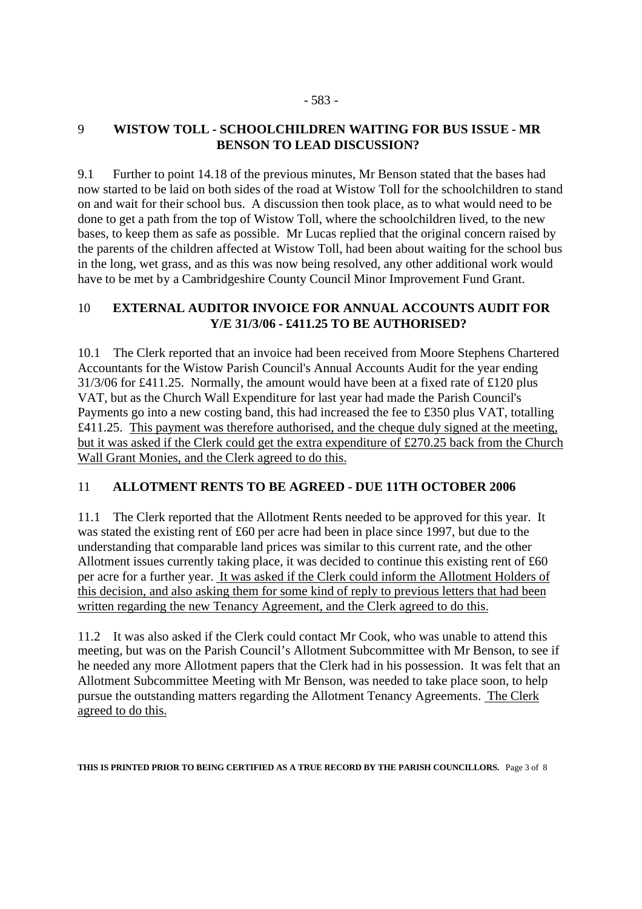# 9 **WISTOW TOLL - SCHOOLCHILDREN WAITING FOR BUS ISSUE - MR BENSON TO LEAD DISCUSSION?**

9.1 Further to point 14.18 of the previous minutes, Mr Benson stated that the bases had now started to be laid on both sides of the road at Wistow Toll for the schoolchildren to stand on and wait for their school bus. A discussion then took place, as to what would need to be done to get a path from the top of Wistow Toll, where the schoolchildren lived, to the new bases, to keep them as safe as possible. Mr Lucas replied that the original concern raised by the parents of the children affected at Wistow Toll, had been about waiting for the school bus in the long, wet grass, and as this was now being resolved, any other additional work would have to be met by a Cambridgeshire County Council Minor Improvement Fund Grant.

## 10 **EXTERNAL AUDITOR INVOICE FOR ANNUAL ACCOUNTS AUDIT FOR Y/E 31/3/06 - £411.25 TO BE AUTHORISED?**

10.1 The Clerk reported that an invoice had been received from Moore Stephens Chartered Accountants for the Wistow Parish Council's Annual Accounts Audit for the year ending 31/3/06 for £411.25. Normally, the amount would have been at a fixed rate of £120 plus VAT, but as the Church Wall Expenditure for last year had made the Parish Council's Payments go into a new costing band, this had increased the fee to £350 plus VAT, totalling £411.25. This payment was therefore authorised, and the cheque duly signed at the meeting, but it was asked if the Clerk could get the extra expenditure of £270.25 back from the Church Wall Grant Monies, and the Clerk agreed to do this.

# 11 **ALLOTMENT RENTS TO BE AGREED - DUE 11TH OCTOBER 2006**

11.1 The Clerk reported that the Allotment Rents needed to be approved for this year. It was stated the existing rent of £60 per acre had been in place since 1997, but due to the understanding that comparable land prices was similar to this current rate, and the other Allotment issues currently taking place, it was decided to continue this existing rent of £60 per acre for a further year. It was asked if the Clerk could inform the Allotment Holders of this decision, and also asking them for some kind of reply to previous letters that had been written regarding the new Tenancy Agreement, and the Clerk agreed to do this.

11.2 It was also asked if the Clerk could contact Mr Cook, who was unable to attend this meeting, but was on the Parish Council's Allotment Subcommittee with Mr Benson, to see if he needed any more Allotment papers that the Clerk had in his possession. It was felt that an Allotment Subcommittee Meeting with Mr Benson, was needed to take place soon, to help pursue the outstanding matters regarding the Allotment Tenancy Agreements. The Clerk agreed to do this.

**THIS IS PRINTED PRIOR TO BEING CERTIFIED AS A TRUE RECORD BY THE PARISH COUNCILLORS.** Page 3 of 8

#### - 583 -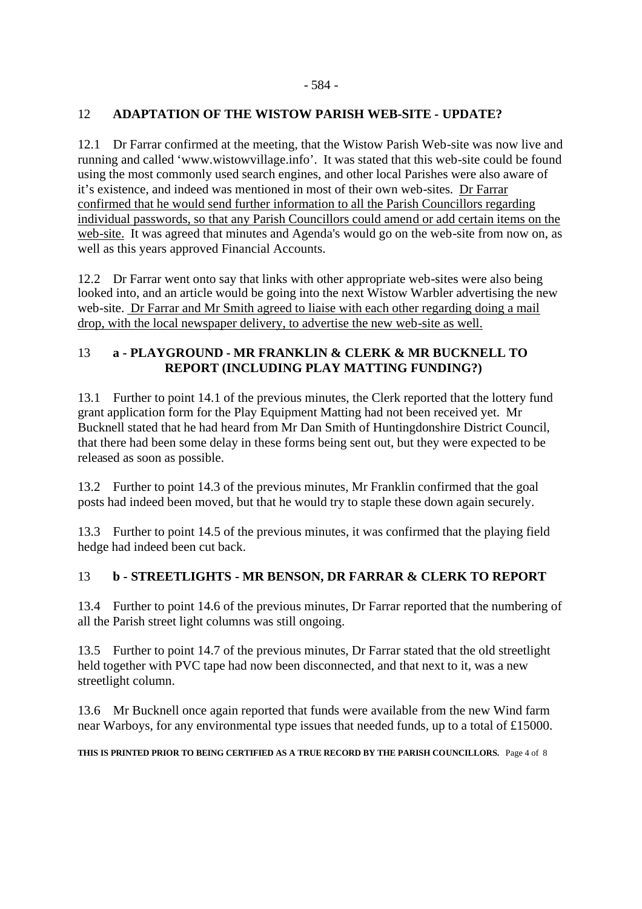#### 12 **ADAPTATION OF THE WISTOW PARISH WEB-SITE - UPDATE?**

12.1 Dr Farrar confirmed at the meeting, that the Wistow Parish Web-site was now live and running and called 'www.wistowvillage.info'. It was stated that this web-site could be found using the most commonly used search engines, and other local Parishes were also aware of it's existence, and indeed was mentioned in most of their own web-sites. Dr Farrar confirmed that he would send further information to all the Parish Councillors regarding individual passwords, so that any Parish Councillors could amend or add certain items on the web-site. It was agreed that minutes and Agenda's would go on the web-site from now on, as well as this years approved Financial Accounts.

12.2 Dr Farrar went onto say that links with other appropriate web-sites were also being looked into, and an article would be going into the next Wistow Warbler advertising the new web-site. Dr Farrar and Mr Smith agreed to liaise with each other regarding doing a mail drop, with the local newspaper delivery, to advertise the new web-site as well.

## 13 **a - PLAYGROUND - MR FRANKLIN & CLERK & MR BUCKNELL TO REPORT (INCLUDING PLAY MATTING FUNDING?)**

13.1 Further to point 14.1 of the previous minutes, the Clerk reported that the lottery fund grant application form for the Play Equipment Matting had not been received yet. Mr Bucknell stated that he had heard from Mr Dan Smith of Huntingdonshire District Council, that there had been some delay in these forms being sent out, but they were expected to be released as soon as possible.

13.2 Further to point 14.3 of the previous minutes, Mr Franklin confirmed that the goal posts had indeed been moved, but that he would try to staple these down again securely.

13.3 Further to point 14.5 of the previous minutes, it was confirmed that the playing field hedge had indeed been cut back.

#### 13 **b - STREETLIGHTS - MR BENSON, DR FARRAR & CLERK TO REPORT**

13.4 Further to point 14.6 of the previous minutes, Dr Farrar reported that the numbering of all the Parish street light columns was still ongoing.

13.5 Further to point 14.7 of the previous minutes, Dr Farrar stated that the old streetlight held together with PVC tape had now been disconnected, and that next to it, was a new streetlight column.

13.6 Mr Bucknell once again reported that funds were available from the new Wind farm near Warboys, for any environmental type issues that needed funds, up to a total of £15000.

**THIS IS PRINTED PRIOR TO BEING CERTIFIED AS A TRUE RECORD BY THE PARISH COUNCILLORS.** Page 4 of 8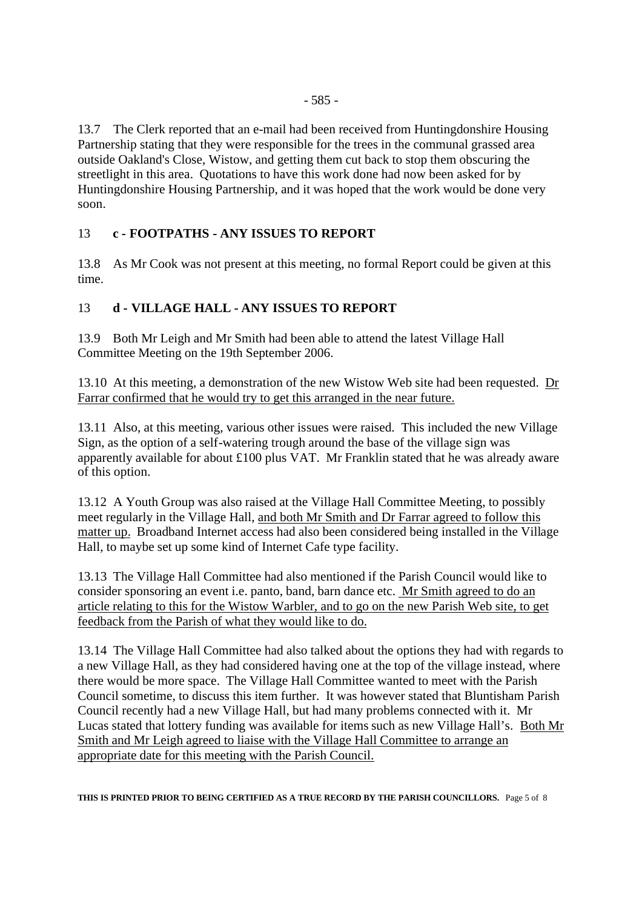13.7 The Clerk reported that an e-mail had been received from Huntingdonshire Housing Partnership stating that they were responsible for the trees in the communal grassed area outside Oakland's Close, Wistow, and getting them cut back to stop them obscuring the streetlight in this area. Quotations to have this work done had now been asked for by Huntingdonshire Housing Partnership, and it was hoped that the work would be done very soon.

# 13 **c - FOOTPATHS - ANY ISSUES TO REPORT**

13.8 As Mr Cook was not present at this meeting, no formal Report could be given at this time.

# 13 **d - VILLAGE HALL - ANY ISSUES TO REPORT**

13.9 Both Mr Leigh and Mr Smith had been able to attend the latest Village Hall Committee Meeting on the 19th September 2006.

13.10 At this meeting, a demonstration of the new Wistow Web site had been requested. Dr Farrar confirmed that he would try to get this arranged in the near future.

13.11 Also, at this meeting, various other issues were raised. This included the new Village Sign, as the option of a self-watering trough around the base of the village sign was apparently available for about £100 plus VAT. Mr Franklin stated that he was already aware of this option.

13.12 A Youth Group was also raised at the Village Hall Committee Meeting, to possibly meet regularly in the Village Hall, and both Mr Smith and Dr Farrar agreed to follow this matter up. Broadband Internet access had also been considered being installed in the Village Hall, to maybe set up some kind of Internet Cafe type facility.

13.13 The Village Hall Committee had also mentioned if the Parish Council would like to consider sponsoring an event i.e. panto, band, barn dance etc. Mr Smith agreed to do an article relating to this for the Wistow Warbler, and to go on the new Parish Web site, to get feedback from the Parish of what they would like to do.

13.14 The Village Hall Committee had also talked about the options they had with regards to a new Village Hall, as they had considered having one at the top of the village instead, where there would be more space. The Village Hall Committee wanted to meet with the Parish Council sometime, to discuss this item further. It was however stated that Bluntisham Parish Council recently had a new Village Hall, but had many problems connected with it. Mr Lucas stated that lottery funding was available for items such as new Village Hall's. Both Mr Smith and Mr Leigh agreed to liaise with the Village Hall Committee to arrange an appropriate date for this meeting with the Parish Council.

**THIS IS PRINTED PRIOR TO BEING CERTIFIED AS A TRUE RECORD BY THE PARISH COUNCILLORS.** Page 5 of 8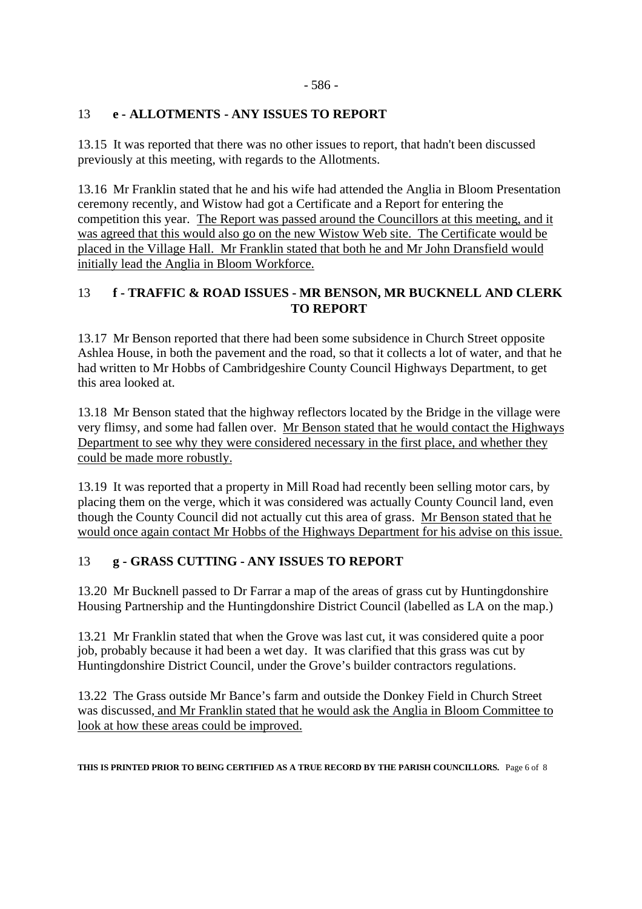#### - 586 -

# 13 **e - ALLOTMENTS - ANY ISSUES TO REPORT**

13.15 It was reported that there was no other issues to report, that hadn't been discussed previously at this meeting, with regards to the Allotments.

13.16 Mr Franklin stated that he and his wife had attended the Anglia in Bloom Presentation ceremony recently, and Wistow had got a Certificate and a Report for entering the competition this year. The Report was passed around the Councillors at this meeting, and it was agreed that this would also go on the new Wistow Web site. The Certificate would be placed in the Village Hall. Mr Franklin stated that both he and Mr John Dransfield would initially lead the Anglia in Bloom Workforce.

# 13 **f - TRAFFIC & ROAD ISSUES - MR BENSON, MR BUCKNELL AND CLERK TO REPORT**

13.17 Mr Benson reported that there had been some subsidence in Church Street opposite Ashlea House, in both the pavement and the road, so that it collects a lot of water, and that he had written to Mr Hobbs of Cambridgeshire County Council Highways Department, to get this area looked at.

13.18 Mr Benson stated that the highway reflectors located by the Bridge in the village were very flimsy, and some had fallen over. Mr Benson stated that he would contact the Highways Department to see why they were considered necessary in the first place, and whether they could be made more robustly.

13.19 It was reported that a property in Mill Road had recently been selling motor cars, by placing them on the verge, which it was considered was actually County Council land, even though the County Council did not actually cut this area of grass. Mr Benson stated that he would once again contact Mr Hobbs of the Highways Department for his advise on this issue.

# 13 **g - GRASS CUTTING - ANY ISSUES TO REPORT**

13.20 Mr Bucknell passed to Dr Farrar a map of the areas of grass cut by Huntingdonshire Housing Partnership and the Huntingdonshire District Council (labelled as LA on the map.)

13.21 Mr Franklin stated that when the Grove was last cut, it was considered quite a poor job, probably because it had been a wet day. It was clarified that this grass was cut by Huntingdonshire District Council, under the Grove's builder contractors regulations.

13.22 The Grass outside Mr Bance's farm and outside the Donkey Field in Church Street was discussed, and Mr Franklin stated that he would ask the Anglia in Bloom Committee to look at how these areas could be improved.

**THIS IS PRINTED PRIOR TO BEING CERTIFIED AS A TRUE RECORD BY THE PARISH COUNCILLORS.** Page 6 of 8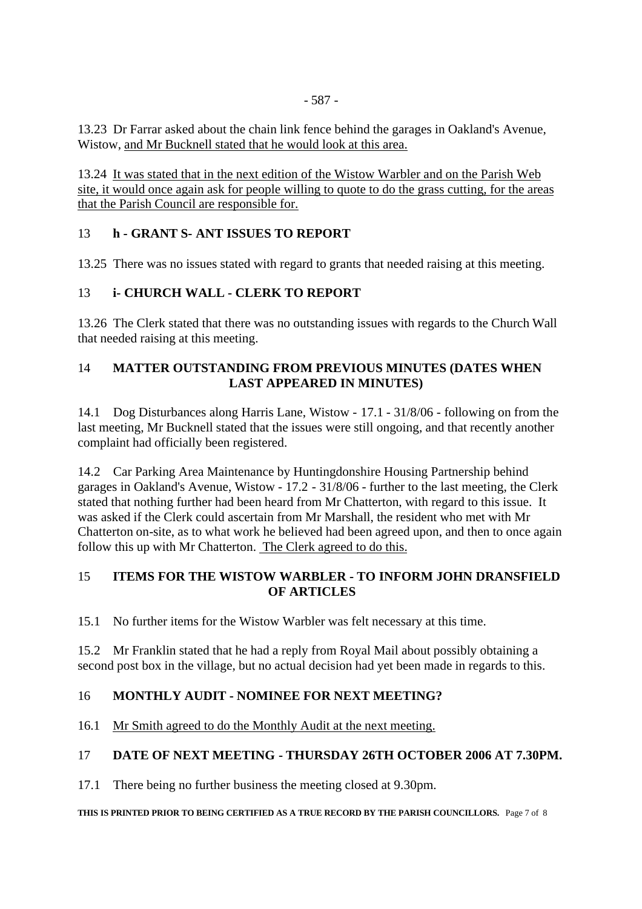13.23 Dr Farrar asked about the chain link fence behind the garages in Oakland's Avenue, Wistow, and Mr Bucknell stated that he would look at this area.

13.24 It was stated that in the next edition of the Wistow Warbler and on the Parish Web site, it would once again ask for people willing to quote to do the grass cutting, for the areas that the Parish Council are responsible for.

#### 13 **h - GRANT S- ANT ISSUES TO REPORT**

13.25 There was no issues stated with regard to grants that needed raising at this meeting.

#### 13 **i- CHURCH WALL - CLERK TO REPORT**

13.26 The Clerk stated that there was no outstanding issues with regards to the Church Wall that needed raising at this meeting.

#### 14 **MATTER OUTSTANDING FROM PREVIOUS MINUTES (DATES WHEN LAST APPEARED IN MINUTES)**

14.1 Dog Disturbances along Harris Lane, Wistow - 17.1 - 31/8/06 - following on from the last meeting, Mr Bucknell stated that the issues were still ongoing, and that recently another complaint had officially been registered.

14.2 Car Parking Area Maintenance by Huntingdonshire Housing Partnership behind garages in Oakland's Avenue, Wistow - 17.2 - 31/8/06 - further to the last meeting, the Clerk stated that nothing further had been heard from Mr Chatterton, with regard to this issue. It was asked if the Clerk could ascertain from Mr Marshall, the resident who met with Mr Chatterton on-site, as to what work he believed had been agreed upon, and then to once again follow this up with Mr Chatterton. The Clerk agreed to do this.

#### 15 **ITEMS FOR THE WISTOW WARBLER - TO INFORM JOHN DRANSFIELD OF ARTICLES**

15.1 No further items for the Wistow Warbler was felt necessary at this time.

15.2 Mr Franklin stated that he had a reply from Royal Mail about possibly obtaining a second post box in the village, but no actual decision had yet been made in regards to this.

#### 16 **MONTHLY AUDIT - NOMINEE FOR NEXT MEETING?**

16.1 Mr Smith agreed to do the Monthly Audit at the next meeting.

#### 17 **DATE OF NEXT MEETING - THURSDAY 26TH OCTOBER 2006 AT 7.30PM.**

17.1 There being no further business the meeting closed at 9.30pm.

**THIS IS PRINTED PRIOR TO BEING CERTIFIED AS A TRUE RECORD BY THE PARISH COUNCILLORS.** Page 7 of 8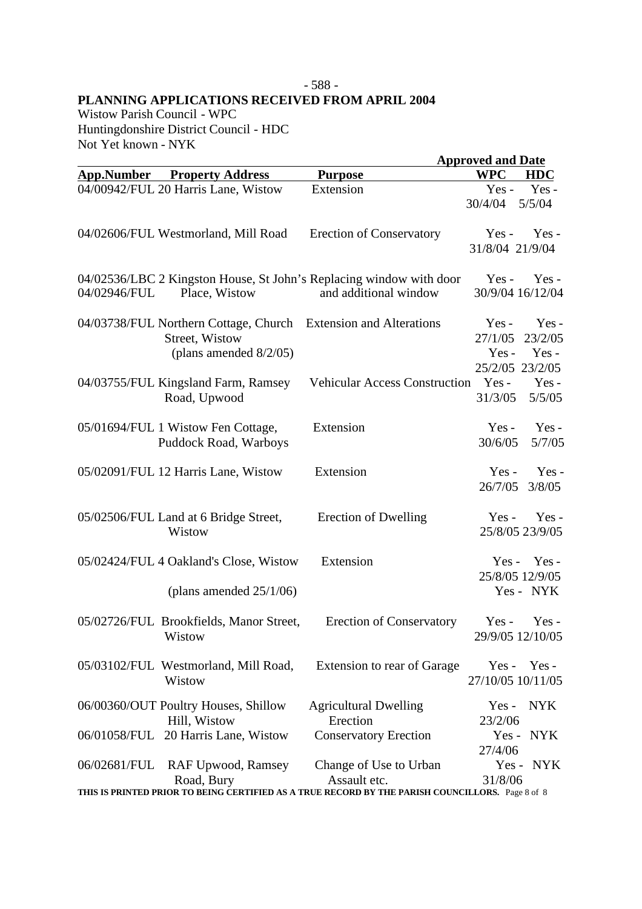#### - 588 - **PLANNING APPLICATIONS RECEIVED FROM APRIL 2004**

Wistow Parish Council - WPC Huntingdonshire District Council - HDC Not Yet known - NYK

|                   |                                                                                                                |                                                                                                  | <b>Approved and Date</b>     |                                      |
|-------------------|----------------------------------------------------------------------------------------------------------------|--------------------------------------------------------------------------------------------------|------------------------------|--------------------------------------|
| <b>App.Number</b> | <b>Property Address</b>                                                                                        | <b>Purpose</b>                                                                                   | <b>WPC</b>                   | <b>HDC</b>                           |
|                   | 04/00942/FUL 20 Harris Lane, Wistow                                                                            | Extension                                                                                        | $Yes -$<br>30/4/04           | Yes-<br>5/5/04                       |
|                   | 04/02606/FUL Westmorland, Mill Road                                                                            | <b>Erection of Conservatory</b>                                                                  | $Yes -$<br>31/8/04 21/9/04   | $Yes -$                              |
| 04/02946/FUL      | Place, Wistow                                                                                                  | 04/02536/LBC 2 Kingston House, St John's Replacing window with door<br>and additional window     | $Yes -$                      | $Yes -$<br>30/9/04 16/12/04          |
|                   | 04/03738/FUL Northern Cottage, Church Extension and Alterations<br>Street, Wistow<br>(plans amended $8/2/05$ ) |                                                                                                  | Yes-<br>27/1/05<br>$Yes -$   | Yes-<br>23/2/05<br>$Yes -$           |
|                   | 04/03755/FUL Kingsland Farm, Ramsey<br>Road, Upwood                                                            | <b>Vehicular Access Construction</b>                                                             | $Yes -$<br>31/3/05           | 25/2/05 23/2/05<br>$Yes -$<br>5/5/05 |
|                   | 05/01694/FUL 1 Wistow Fen Cottage,<br>Puddock Road, Warboys                                                    | Extension                                                                                        | $Yes -$<br>30/6/05           | Yes-<br>5/7/05                       |
|                   | 05/02091/FUL 12 Harris Lane, Wistow                                                                            | Extension                                                                                        | $Yes -$<br>26/7/05           | $Yes -$<br>3/8/05                    |
|                   | 05/02506/FUL Land at 6 Bridge Street,<br>Wistow                                                                | Erection of Dwelling                                                                             | $Yes -$                      | Yes-<br>25/8/05 23/9/05              |
|                   | 05/02424/FUL 4 Oakland's Close, Wistow                                                                         | Extension                                                                                        |                              | $Yes - Yes -$<br>25/8/05 12/9/05     |
|                   | (plans amended $25/1/06$ )                                                                                     |                                                                                                  |                              | Yes - NYK                            |
|                   | 05/02726/FUL Brookfields, Manor Street,<br>Wistow                                                              | <b>Erection of Conservatory</b>                                                                  |                              | $Yes - Yes -$<br>29/9/05 12/10/05    |
|                   | 05/03102/FUL Westmorland, Mill Road,<br>Wistow                                                                 | Extension to rear of Garage                                                                      | $Yes -$<br>27/10/05 10/11/05 | Yes -                                |
|                   | 06/00360/OUT Poultry Houses, Shillow<br>Hill, Wistow                                                           | <b>Agricultural Dwelling</b><br>Erection                                                         | $Yes -$<br>23/2/06           | <b>NYK</b>                           |
| 06/01058/FUL      | 20 Harris Lane, Wistow                                                                                         | <b>Conservatory Erection</b>                                                                     | $Yes -$<br>27/4/06           | NYK                                  |
| 06/02681/FUL      | <b>RAF Upwood, Ramsey</b><br>Road, Bury                                                                        | Change of Use to Urban<br>Assault etc.                                                           | 31/8/06                      | Yes - NYK                            |
|                   |                                                                                                                | THIS IS PRINTED PRIOR TO BEING CERTIFIED AS A TRUE RECORD BY THE PARISH COUNCILLORS. Page 8 of 8 |                              |                                      |